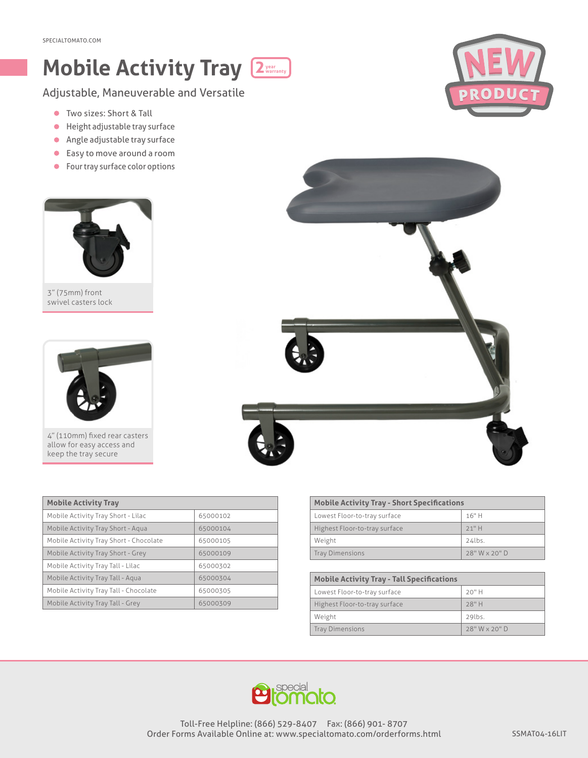## **Mobile Activity Tray 2year warranty**

Adjustable, Maneuverable and Versatile

- Two sizes: Short & Tall
- Height adjustable tray surface
- Angle adjustable tray surface
- Easy to move around a room
- **•** Four tray surface color options



3" (75mm) front swivel casters lock



4" (110mm) fixed rear casters allow for easy access and keep the tray secure

| <b>Mobile Activity Tray</b>            |          |
|----------------------------------------|----------|
| Mobile Activity Tray Short - Lilac     | 65000102 |
| Mobile Activity Tray Short - Agua      | 65000104 |
| Mobile Activity Tray Short - Chocolate | 65000105 |
| Mobile Activity Tray Short - Grey      | 65000109 |
| Mobile Activity Tray Tall - Lilac      | 65000302 |
| Mobile Activity Tray Tall - Agua       | 65000304 |
| Mobile Activity Tray Tall - Chocolate  | 65000305 |
| Mobile Activity Tray Tall - Grey       | 65000309 |

| <b>Mobile Activity Tray - Short Specifications</b> |               |  |
|----------------------------------------------------|---------------|--|
| Lowest Floor-to-tray surface                       | 16"H          |  |
| Highest Floor-to-tray surface                      | $21"$ H       |  |
| Weight                                             | $24$ lbs.     |  |
| <b>Tray Dimensions</b>                             | 28" W x 20" D |  |

| <b>Mobile Activity Tray - Tall Specifications</b> |               |
|---------------------------------------------------|---------------|
| Lowest Floor-to-tray surface                      | $20"$ H       |
| Highest Floor-to-tray surface                     | 28" H         |
| Weight                                            | 29lbs.        |
| <b>Tray Dimensions</b>                            | 28" W x 20" D |